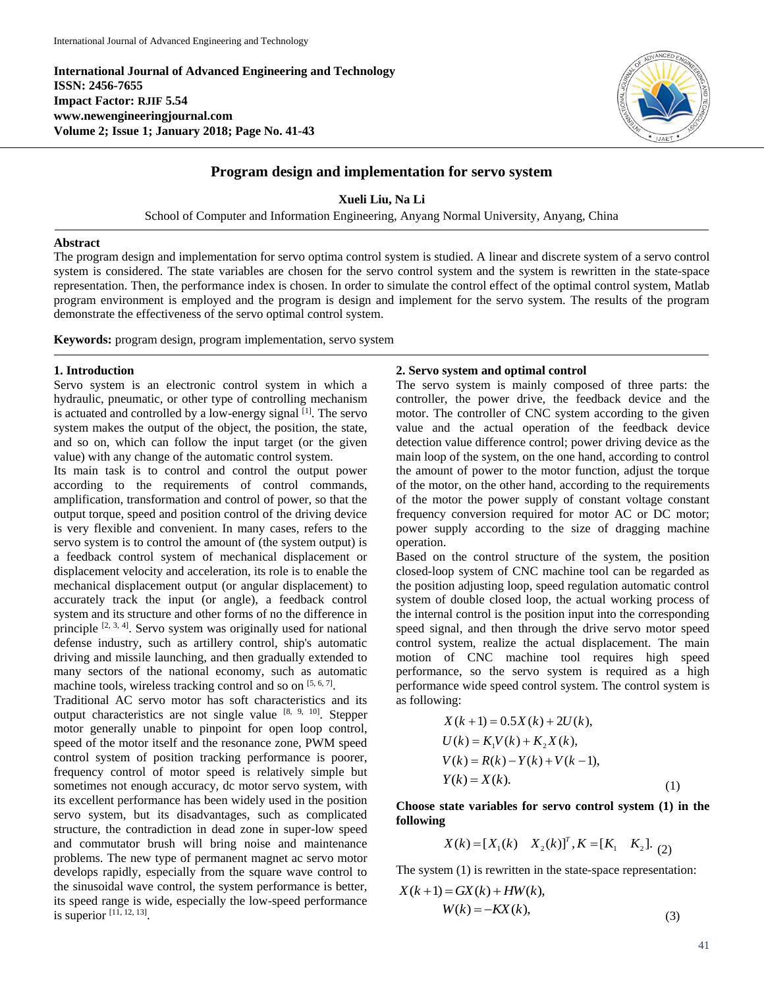**International Journal of Advanced Engineering and Technology ISSN: 2456-7655 Impact Factor: RJIF 5.54 www.newengineeringjournal.com Volume 2; Issue 1; January 2018; Page No. 41-43**



# **Program design and implementation for servo system**

**Xueli Liu, Na Li**

School of Computer and Information Engineering, Anyang Normal University, Anyang, China

#### **Abstract**

The program design and implementation for servo optima control system is studied. A linear and discrete system of a servo control system is considered. The state variables are chosen for the servo control system and the system is rewritten in the state-space representation. Then, the performance index is chosen. In order to simulate the control effect of the optimal control system, Matlab program environment is employed and the program is design and implement for the servo system. The results of the program demonstrate the effectiveness of the servo optimal control system.

**Keywords:** program design, program implementation, servo system

### **1. Introduction**

Servo system is an electronic control system in which a hydraulic, pneumatic, or other type of controlling mechanism is actuated and controlled by a low-energy signal [1]. The servo system makes the output of the object, the position, the state, and so on, which can follow the input target (or the given value) with any change of the automatic control system.

Its main task is to control and control the output power according to the requirements of control commands, amplification, transformation and control of power, so that the output torque, speed and position control of the driving device is very flexible and convenient. In many cases, refers to the servo system is to control the amount of (the system output) is a feedback control system of mechanical displacement or displacement velocity and acceleration, its role is to enable the mechanical displacement output (or angular displacement) to accurately track the input (or angle), a feedback control system and its structure and other forms of no the difference in principle  $[2, 3, 4]$ . Servo system was originally used for national defense industry, such as artillery control, ship's automatic driving and missile launching, and then gradually extended to many sectors of the national economy, such as automatic machine tools, wireless tracking control and so on [5, 6, 7].

Traditional AC servo motor has soft characteristics and its output characteristics are not single value  $[8, 9, 10]$ . Stepper motor generally unable to pinpoint for open loop control, speed of the motor itself and the resonance zone, PWM speed control system of position tracking performance is poorer, frequency control of motor speed is relatively simple but sometimes not enough accuracy, dc motor servo system, with its excellent performance has been widely used in the position servo system, but its disadvantages, such as complicated structure, the contradiction in dead zone in super-low speed and commutator brush will bring noise and maintenance problems. The new type of permanent magnet ac servo motor develops rapidly, especially from the square wave control to the sinusoidal wave control, the system performance is better, its speed range is wide, especially the low-speed performance is superior [11, 12, 13] .

### **2. Servo system and optimal control**

The servo system is mainly composed of three parts: the controller, the power drive, the feedback device and the motor. The controller of CNC system according to the given value and the actual operation of the feedback device detection value difference control; power driving device as the main loop of the system, on the one hand, according to control the amount of power to the motor function, adjust the torque of the motor, on the other hand, according to the requirements of the motor the power supply of constant voltage constant frequency conversion required for motor AC or DC motor; power supply according to the size of dragging machine operation.

Based on the control structure of the system, the position closed-loop system of CNC machine tool can be regarded as the position adjusting loop, speed regulation automatic control system of double closed loop, the actual working process of the internal control is the position input into the corresponding speed signal, and then through the drive servo motor speed control system, realize the actual displacement. The main motion of CNC machine tool requires high speed performance, so the servo system is required as a high performance wide speed control system. The control system is as following:

$$
X(k+1) = 0.5X(k) + 2U(k),
$$
  
\n
$$
U(k) = K_1V(k) + K_2X(k),
$$
  
\n
$$
V(k) = R(k) - Y(k) + V(k-1),
$$
  
\n
$$
Y(k) = X(k).
$$
 (1)

**Choose state variables for servo control system (1) in the following**

$$
X(k) = [X_1(k) \quad X_2(k)]^T, K = [K_1 \quad K_2].
$$
 (2)

The system (1) is rewritten in the state-space representation:

$$
X(k+1) = GX(k) + HW(k),
$$
  
\n
$$
W(k) = -KX(k),
$$
\n(3)

41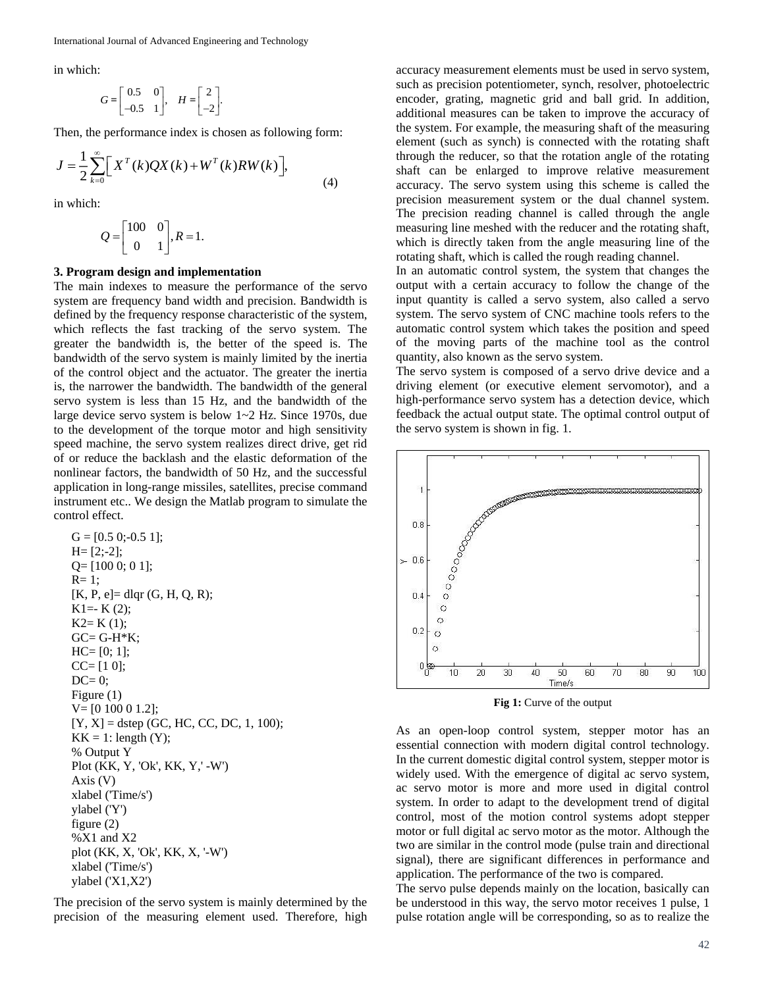in which:

$$
G=\begin{bmatrix} 0.5 & 0 \\ -0.5 & 1 \end{bmatrix}, \quad H=\begin{bmatrix} 2 \\ -2 \end{bmatrix}.
$$

Then, the performance index is chosen as following form:

$$
J = \frac{1}{2} \sum_{k=0}^{\infty} \left[ X^{T}(k)QX(k) + W^{T}(k)RW(k) \right],
$$
\n(4)

in which:

$$
Q = \begin{bmatrix} 100 & 0 \\ 0 & 1 \end{bmatrix}, R = 1.
$$

#### **3. Program design and implementation**

The main indexes to measure the performance of the servo system are frequency band width and precision. Bandwidth is defined by the frequency response characteristic of the system, which reflects the fast tracking of the servo system. The greater the bandwidth is, the better of the speed is. The bandwidth of the servo system is mainly limited by the inertia of the control object and the actuator. The greater the inertia is, the narrower the bandwidth. The bandwidth of the general servo system is less than 15 Hz, and the bandwidth of the large device servo system is below 1~2 Hz. Since 1970s, due to the development of the torque motor and high sensitivity speed machine, the servo system realizes direct drive, get rid of or reduce the backlash and the elastic deformation of the nonlinear factors, the bandwidth of 50 Hz, and the successful application in long-range missiles, satellites, precise command instrument etc.. We design the Matlab program to simulate the control effect.

G = [0.5 0;-0.5 1]; H= [2;-2]; Q= [100 0; 0 1]; R= 1; [K, P, e]= dlqr (G, H, Q, R); K1=- K (2); K2= K (1); GC= G-H\*K; HC= [0; 1]; CC= [1 0]; DC= 0; Figure (1) V= [0 100 0 1.2]; [Y, X] = dstep (GC, HC, CC, DC, 1, 100); KK = 1: length (Y); % Output Y Plot (KK, Y, 'Ok', KK, Y,' -W') Axis (V) xlabel ('Time/s') ylabel ('Y') figure (2) %X1 and X2 plot (KK, X, 'Ok', KK, X, '-W') xlabel ('Time/s') ylabel ('X1,X2')

The precision of the servo system is mainly determined by the precision of the measuring element used. Therefore, high

accuracy measurement elements must be used in servo system, such as precision potentiometer, synch, resolver, photoelectric encoder, grating, magnetic grid and ball grid. In addition, additional measures can be taken to improve the accuracy of the system. For example, the measuring shaft of the measuring element (such as synch) is connected with the rotating shaft through the reducer, so that the rotation angle of the rotating shaft can be enlarged to improve relative measurement accuracy. The servo system using this scheme is called the precision measurement system or the dual channel system. The precision reading channel is called through the angle measuring line meshed with the reducer and the rotating shaft, which is directly taken from the angle measuring line of the rotating shaft, which is called the rough reading channel.

In an automatic control system, the system that changes the output with a certain accuracy to follow the change of the input quantity is called a servo system, also called a servo system. The servo system of CNC machine tools refers to the automatic control system which takes the position and speed of the moving parts of the machine tool as the control quantity, also known as the servo system.

The servo system is composed of a servo drive device and a driving element (or executive element servomotor), and a high-performance servo system has a detection device, which feedback the actual output state. The optimal control output of the servo system is shown in fig. 1.



**Fig 1:** Curve of the output

As an open-loop control system, stepper motor has an essential connection with modern digital control technology. In the current domestic digital control system, stepper motor is widely used. With the emergence of digital ac servo system, ac servo motor is more and more used in digital control system. In order to adapt to the development trend of digital control, most of the motion control systems adopt stepper motor or full digital ac servo motor as the motor. Although the two are similar in the control mode (pulse train and directional signal), there are significant differences in performance and application. The performance of the two is compared.

The servo pulse depends mainly on the location, basically can be understood in this way, the servo motor receives 1 pulse, 1 pulse rotation angle will be corresponding, so as to realize the